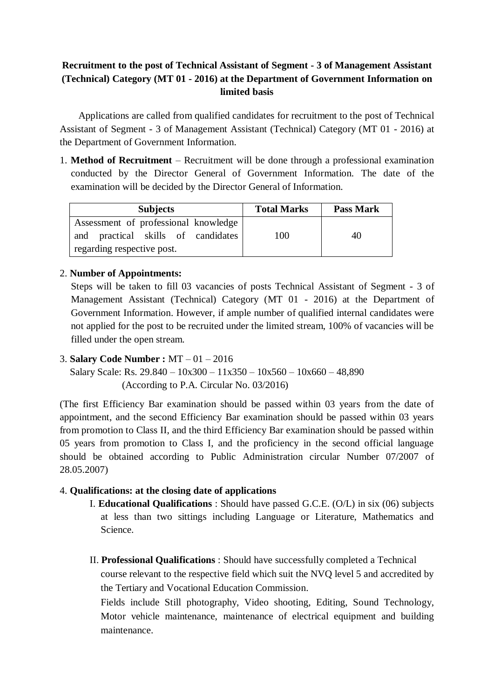## **Recruitment to the post of Technical Assistant of Segment - 3 of Management Assistant (Technical) Category (MT 01 - 2016) at the Department of Government Information on limited basis**

Applications are called from qualified candidates for recruitment to the post of Technical Assistant of Segment - 3 of Management Assistant (Technical) Category (MT 01 - 2016) at the Department of Government Information.

1. **Method of Recruitment** – Recruitment will be done through a professional examination conducted by the Director General of Government Information. The date of the examination will be decided by the Director General of Information.

| <b>Subjects</b>                                                            | <b>Total Marks</b> | <b>Pass Mark</b> |
|----------------------------------------------------------------------------|--------------------|------------------|
| Assessment of professional knowledge<br>and practical skills of candidates | 100                | 40               |
| regarding respective post.                                                 |                    |                  |

### 2. **Number of Appointments:**

Steps will be taken to fill 03 vacancies of posts Technical Assistant of Segment - 3 of Management Assistant (Technical) Category (MT 01 - 2016) at the Department of Government Information. However, if ample number of qualified internal candidates were not applied for the post to be recruited under the limited stream, 100% of vacancies will be filled under the open stream.

3. **Salary Code Number :** MT – 01 – 2016

Salary Scale: Rs.  $29.840 - 10x300 - 11x350 - 10x560 - 10x660 - 48,890$ (According to P.A. Circular No. 03/2016)

(The first Efficiency Bar examination should be passed within 03 years from the date of appointment, and the second Efficiency Bar examination should be passed within 03 years from promotion to Class II, and the third Efficiency Bar examination should be passed within 05 years from promotion to Class I, and the proficiency in the second official language should be obtained according to Public Administration circular Number 07/2007 of 28.05.2007)

## 4. **Qualifications: at the closing date of applications**

- I. **Educational Qualifications** : Should have passed G.C.E. (O/L) in six (06) subjects at less than two sittings including Language or Literature, Mathematics and Science.
- II. **Professional Qualifications** : Should have successfully completed a Technical course relevant to the respective field which suit the NVQ level 5 and accredited by the Tertiary and Vocational Education Commission.

Fields include Still photography, Video shooting, Editing, Sound Technology, Motor vehicle maintenance, maintenance of electrical equipment and building maintenance.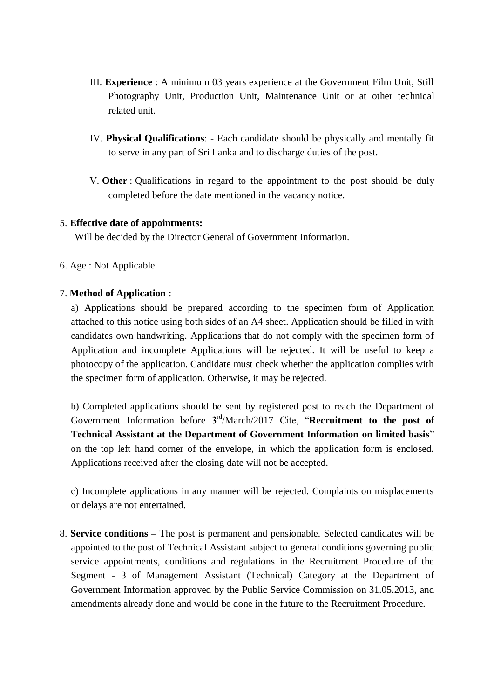- III. **Experience** : A minimum 03 years experience at the Government Film Unit, Still Photography Unit, Production Unit, Maintenance Unit or at other technical related unit.
- IV. **Physical Qualifications**: Each candidate should be physically and mentally fit to serve in any part of Sri Lanka and to discharge duties of the post.
- V. **Other** : Qualifications in regard to the appointment to the post should be duly completed before the date mentioned in the vacancy notice.

#### 5. **Effective date of appointments:**

Will be decided by the Director General of Government Information.

6. Age : Not Applicable.

#### 7. **Method of Application** :

a) Applications should be prepared according to the specimen form of Application attached to this notice using both sides of an A4 sheet. Application should be filled in with candidates own handwriting. Applications that do not comply with the specimen form of Application and incomplete Applications will be rejected. It will be useful to keep a photocopy of the application. Candidate must check whether the application complies with the specimen form of application. Otherwise, it may be rejected.

b) Completed applications should be sent by registered post to reach the Department of Government Information before 3<sup>rd</sup>/March/2017 Cite, "**Recruitment to the post of Technical Assistant at the Department of Government Information on limited basis**" on the top left hand corner of the envelope, in which the application form is enclosed. Applications received after the closing date will not be accepted.

c) Incomplete applications in any manner will be rejected. Complaints on misplacements or delays are not entertained.

8. **Service conditions –** The post is permanent and pensionable. Selected candidates will be appointed to the post of Technical Assistant subject to general conditions governing public service appointments, conditions and regulations in the Recruitment Procedure of the Segment - 3 of Management Assistant (Technical) Category at the Department of Government Information approved by the Public Service Commission on 31.05.2013, and amendments already done and would be done in the future to the Recruitment Procedure.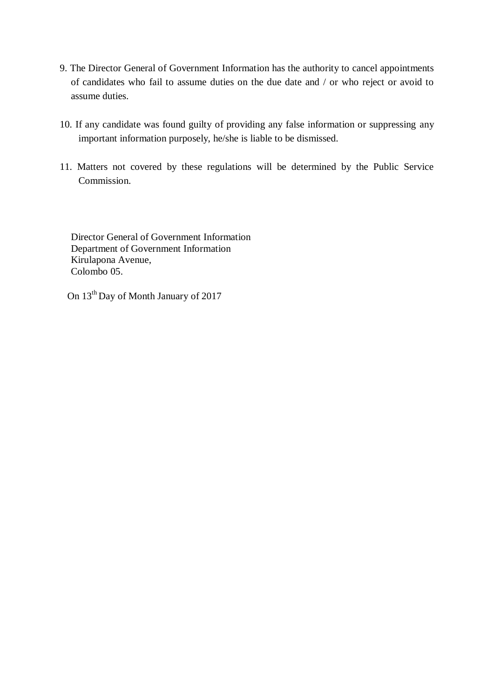- 9. The Director General of Government Information has the authority to cancel appointments of candidates who fail to assume duties on the due date and / or who reject or avoid to assume duties.
- 10. If any candidate was found guilty of providing any false information or suppressing any important information purposely, he/she is liable to be dismissed.
- 11. Matters not covered by these regulations will be determined by the Public Service Commission.

Director General of Government Information Department of Government Information Kirulapona Avenue, Colombo 05.

On 13th Day of Month January of 2017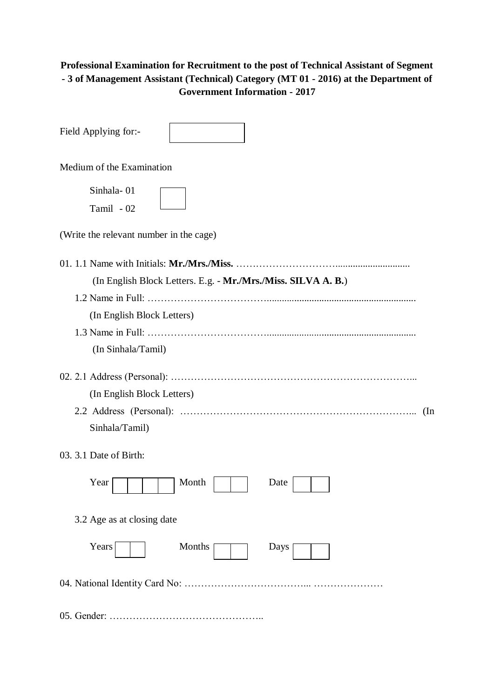# **Professional Examination for Recruitment to the post of Technical Assistant of Segment - 3 of Management Assistant (Technical) Category (MT 01 - 2016) at the Department of Government Information - 2017**

| Field Applying for:-                                                                                                                            |     |
|-------------------------------------------------------------------------------------------------------------------------------------------------|-----|
| Medium of the Examination                                                                                                                       |     |
| Sinhala-01<br>Tamil - 02                                                                                                                        |     |
| (Write the relevant number in the cage)                                                                                                         |     |
| (In English Block Letters. E.g. - Mr./Mrs./Miss. SILVA A. B.)<br>(In English Block Letters)<br>(In Sinhala/Tamil)<br>(In English Block Letters) |     |
| Sinhala/Tamil)                                                                                                                                  | (In |
| 03. 3.1 Date of Birth:<br>Year<br>Month<br>Date                                                                                                 |     |
| 3.2 Age as at closing date<br>Months<br>Years<br>Days                                                                                           |     |
|                                                                                                                                                 |     |
|                                                                                                                                                 |     |